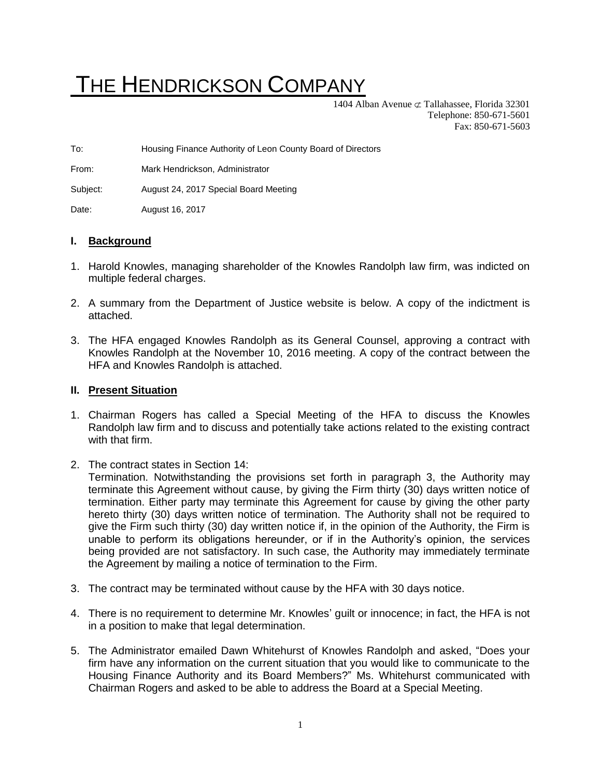## THE HENDRICKSON COMPANY

1404 Alban Avenue  $\sigma$  Tallahassee, Florida 32301 Telephone: 850-671-5601 Fax: 850-671-5603

To: Housing Finance Authority of Leon County Board of Directors

From: Mark Hendrickson, Administrator

Subject: August 24, 2017 Special Board Meeting

Date: August 16, 2017

## **I. Background**

- 1. Harold Knowles, managing shareholder of the Knowles Randolph law firm, was indicted on multiple federal charges.
- 2. A summary from the Department of Justice website is below. A copy of the indictment is attached.
- 3. The HFA engaged Knowles Randolph as its General Counsel, approving a contract with Knowles Randolph at the November 10, 2016 meeting. A copy of the contract between the HFA and Knowles Randolph is attached.

## **II. Present Situation**

- 1. Chairman Rogers has called a Special Meeting of the HFA to discuss the Knowles Randolph law firm and to discuss and potentially take actions related to the existing contract with that firm.
- 2. The contract states in Section 14:

Termination. Notwithstanding the provisions set forth in paragraph 3, the Authority may terminate this Agreement without cause, by giving the Firm thirty (30) days written notice of termination. Either party may terminate this Agreement for cause by giving the other party hereto thirty (30) days written notice of termination. The Authority shall not be required to give the Firm such thirty (30) day written notice if, in the opinion of the Authority, the Firm is unable to perform its obligations hereunder, or if in the Authority's opinion, the services being provided are not satisfactory. In such case, the Authority may immediately terminate the Agreement by mailing a notice of termination to the Firm.

- 3. The contract may be terminated without cause by the HFA with 30 days notice.
- 4. There is no requirement to determine Mr. Knowles' guilt or innocence; in fact, the HFA is not in a position to make that legal determination.
- 5. The Administrator emailed Dawn Whitehurst of Knowles Randolph and asked, "Does your firm have any information on the current situation that you would like to communicate to the Housing Finance Authority and its Board Members?" Ms. Whitehurst communicated with Chairman Rogers and asked to be able to address the Board at a Special Meeting.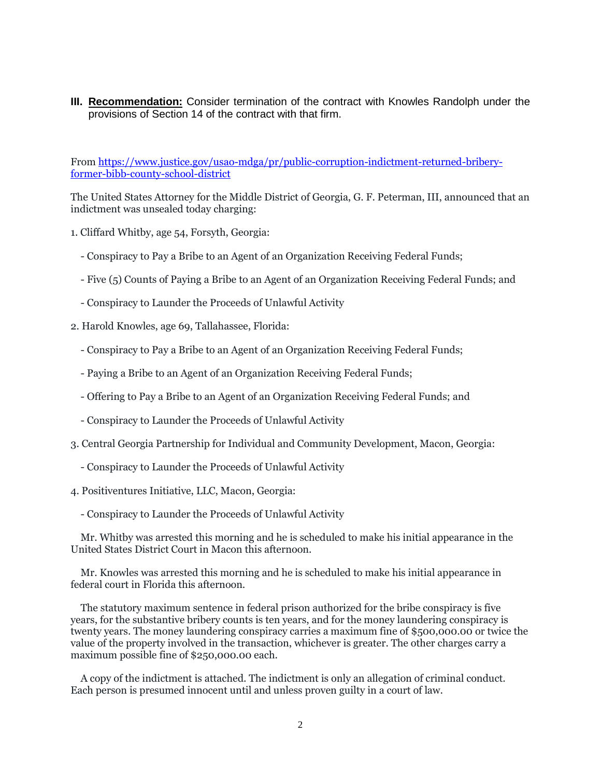**III. Recommendation:** Consider termination of the contract with Knowles Randolph under the provisions of Section 14 of the contract with that firm.

From [https://www.justice.gov/usao-mdga/pr/public-corruption-indictment-returned-bribery](https://www.justice.gov/usao-mdga/pr/public-corruption-indictment-returned-bribery-former-bibb-county-school-district)[former-bibb-county-school-district](https://www.justice.gov/usao-mdga/pr/public-corruption-indictment-returned-bribery-former-bibb-county-school-district)

The United States Attorney for the Middle District of Georgia, G. F. Peterman, III, announced that an indictment was unsealed today charging:

- 1. Cliffard Whitby, age 54, Forsyth, Georgia:
	- Conspiracy to Pay a Bribe to an Agent of an Organization Receiving Federal Funds;
	- Five (5) Counts of Paying a Bribe to an Agent of an Organization Receiving Federal Funds; and
	- Conspiracy to Launder the Proceeds of Unlawful Activity
- 2. Harold Knowles, age 69, Tallahassee, Florida:
	- Conspiracy to Pay a Bribe to an Agent of an Organization Receiving Federal Funds;
	- Paying a Bribe to an Agent of an Organization Receiving Federal Funds;
	- Offering to Pay a Bribe to an Agent of an Organization Receiving Federal Funds; and
	- Conspiracy to Launder the Proceeds of Unlawful Activity
- 3. Central Georgia Partnership for Individual and Community Development, Macon, Georgia:
	- Conspiracy to Launder the Proceeds of Unlawful Activity
- 4. Positiventures Initiative, LLC, Macon, Georgia:
	- Conspiracy to Launder the Proceeds of Unlawful Activity

 Mr. Whitby was arrested this morning and he is scheduled to make his initial appearance in the United States District Court in Macon this afternoon.

 Mr. Knowles was arrested this morning and he is scheduled to make his initial appearance in federal court in Florida this afternoon.

 The statutory maximum sentence in federal prison authorized for the bribe conspiracy is five years, for the substantive bribery counts is ten years, and for the money laundering conspiracy is twenty years. The money laundering conspiracy carries a maximum fine of \$500,000.00 or twice the value of the property involved in the transaction, whichever is greater. The other charges carry a maximum possible fine of \$250,000.00 each.

 A copy of the indictment is attached. The indictment is only an allegation of criminal conduct. Each person is presumed innocent until and unless proven guilty in a court of law.